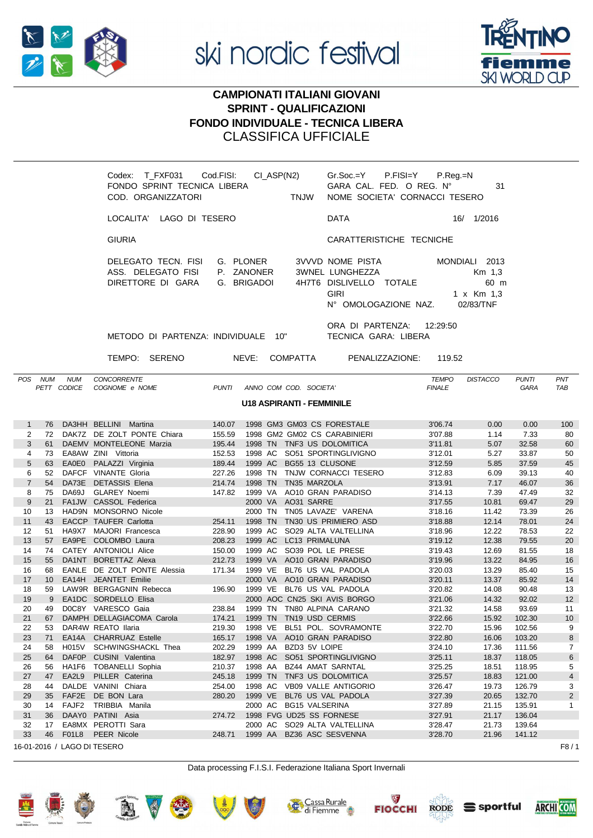



# **CAMPIONATI ITALIANI GIOVANI SPRINT - QUALIFICAZIONI FONDO INDIVIDUALE - TECNICA LIBERA CLASSIFICA UFFICIALE**

|                                                       | Codex: T_FXF031 Cod.FISI:<br>FONDO SPRINT TECNICA LIBERA<br>COD. ORGANIZZATORI | CI_ASP(N2)<br><b>Example 19 TNJW</b>   | $Gr.Soc = Y$ P.FISI=Y P.Reg.=N<br>GARA CAL. FED. O REG. N°<br>NOME SOCIETA' CORNACCI TESERO           | 31                                                           |
|-------------------------------------------------------|--------------------------------------------------------------------------------|----------------------------------------|-------------------------------------------------------------------------------------------------------|--------------------------------------------------------------|
|                                                       | LOCALITA' LAGO DI TESERO                                                       |                                        | <b>DATA</b>                                                                                           | 16/ 1/2016                                                   |
|                                                       | <b>GIURIA</b>                                                                  |                                        | CARATTERISTICHE TECNICHE                                                                              |                                                              |
|                                                       | DELEGATO TECN. FISI<br>ASS. DELEGATO FISI<br>DIRETTORE DI GARA G. BRIGADOI     | G. PLONER<br>P. ZANONER                | 3VVVD NOME PISTA<br>3WNEL LUNGHEZZA<br>4H7T6 DISLIVELLO TOTALE<br><b>GIRI</b><br>N° OMOLOGAZIONE NAZ. | MONDIALI 2013<br>Km 1,3<br>60 m<br>1 x Km 1,3<br>02/83/TNF   |
|                                                       | METODO DI PARTENZA: INDIVIDUALE 10"                                            |                                        | ORA DI PARTENZA:<br>12:29:50<br>TECNICA GARA: LIBERA                                                  |                                                              |
|                                                       | TEMPO: SERENO                                                                  | NEVE: COMPATTA                         | PENALIZZAZIONE:<br>119.52                                                                             |                                                              |
| <b>NUM</b><br><b>POS</b><br><b>NUM</b><br>PETT CODICE | <b>CONCORRENTE</b><br>COGNOME e NOME                                           | <b>PUNTI</b><br>ANNO COM COD. SOCIETA' | <b>TEMPO</b><br><b>FINALE</b>                                                                         | <b>DISTACCO</b><br>PNT<br><b>PUNTI</b><br><b>TAB</b><br>GARA |
|                                                       |                                                                                | <b>U18 ASPIRANTI - FEMMINILE</b>       |                                                                                                       |                                                              |

| -1             | 76 |                   | DA3HH BELLINI Martina        | 140.07 |         | 1998 GM3 GM03 CS FORESTALE   | 3'06.74 | 0.00  | 0.00   | 100            |
|----------------|----|-------------------|------------------------------|--------|---------|------------------------------|---------|-------|--------|----------------|
| 2              | 72 |                   | DAK7Z DE ZOLT PONTE Chiara   | 155.59 |         | 1998 GM2 GM02 CS CARABINIERI | 3'07.88 | 1.14  | 7.33   | 80             |
| 3              | 61 |                   | DAEMV MONTELEONE Marzia      | 195.44 |         | 1998 TN TNF3 US DOLOMITICA   | 3'11.81 | 5.07  | 32.58  | 60             |
| 4              | 73 |                   | EA8AW ZINI Vittoria          | 152.53 | 1998 AC | SO51 SPORTINGLIVIGNO         | 3'12.01 | 5.27  | 33.87  | 50             |
| 5              | 63 |                   | EA0E0 PALAZZI Virginia       | 189.44 | 1999 AC | BG55 13 CLUSONE              | 3'12.59 | 5.85  | 37.59  | 45             |
| 6              | 52 |                   | DAFCF VINANTE Gloria         | 227.26 | 1998 TN | TNJW CORNACCI TESERO         | 3'12.83 | 6.09  | 39.13  | 40             |
| $\overline{7}$ | 54 | DA73E             | <b>DETASSIS Elena</b>        | 214.74 | 1998 TN | TN35 MARZOLA                 | 3'13.91 | 7.17  | 46.07  | 36             |
| 8              | 75 | DA69J             | <b>GLAREY Noemi</b>          | 147.82 | 1999 VA | AO10 GRAN PARADISO           | 3'14.13 | 7.39  | 47.49  | 32             |
| 9              | 21 |                   | FA1JW CASSOL Federica        |        |         | 2000 VA AO31 SARRE           | 3'17.55 | 10.81 | 69.47  | 29             |
| 10             | 13 |                   | HAD9N MONSORNO Nicole        |        | 2000 TN | TN05 LAVAZE' VARENA          | 3'18.16 | 11.42 | 73.39  | 26             |
| 11             | 43 |                   | <b>EACCP TAUFER Carlotta</b> | 254.11 | 1998 TN | TN30 US PRIMIERO ASD         | 3'18.88 | 12.14 | 78.01  | 24             |
| 12             | 51 |                   | HA9X7 MAJORI Francesca       | 228.90 | 1999 AC | SO29 ALTA VALTELLINA         | 3'18.96 | 12.22 | 78.53  | 22             |
| 13             | 57 |                   | EA9PE COLOMBO Laura          | 208.23 | 1999 AC | LC13 PRIMALUNA               | 3'19.12 | 12.38 | 79.55  | 20             |
| 14             | 74 |                   | CATEY ANTONIOLI Alice        | 150.00 | 1999 AC | SO39 POL LE PRESE            | 3'19.43 | 12.69 | 81.55  | 18             |
| 15             | 55 |                   | DA1NT BORETTAZ Alexa         | 212.73 |         | 1999 VA AO10 GRAN PARADISO   | 3'19.96 | 13.22 | 84.95  | 16             |
| 16             | 68 |                   | EANLE DE ZOLT PONTE Alessia  | 171.34 | 1999 VE | BL76 US VAL PADOLA           | 3'20.03 | 13.29 | 85.40  | 15             |
| 17             | 10 |                   | EA14H JEANTET Emilie         |        | 2000 VA | AO10 GRAN PARADISO           | 3'20.11 | 13.37 | 85.92  | 14             |
| 18             | 59 |                   | LAW9R BERGAGNIN Rebecca      | 196.90 | 1999 VE | BL76 US VAL PADOLA           | 3'20.82 | 14.08 | 90.48  | 13             |
| 19             | 9  |                   | EA1DC SORDELLO Elisa         |        |         | 2000 AOC CN25 SKI AVIS BORGO | 3'21.06 | 14.32 | 92.02  | 12             |
| 20             | 49 |                   | DOC8Y VARESCO Gaia           | 238.84 |         | 1999 TN TN80 ALPINA CARANO   | 3'21.32 | 14.58 | 93.69  | 11             |
| 21             | 67 |                   | DAMPH DELLAGIACOMA Carola    | 174.21 | 1999 TN | TN19 USD CERMIS              | 3'22.66 | 15.92 | 102.30 | 10             |
| 22             | 53 |                   | DAR4W REATO Ilaria           | 219.30 | 1998 VE | BL51 POL. SOVRAMONTE         | 3'22.70 | 15.96 | 102.56 | 9              |
| 23             | 71 |                   | EA14A CHARRUAZ Estelle       | 165.17 | 1998 VA | AO10 GRAN PARADISO           | 3'22.80 | 16.06 | 103.20 | 8              |
| 24             | 58 | <b>H015V</b>      | SCHWINGSHACKL Thea           | 202.29 | 1999 AA | BZD3 5V LOIPE                | 3'24.10 | 17.36 | 111.56 | $\overline{7}$ |
| 25             | 64 |                   | DAF0P CUSINI Valentina       | 182.97 | 1998 AC | SO51 SPORTINGLIVIGNO         | 3'25.11 | 18.37 | 118.05 | 6              |
| 26             | 56 |                   | HA1F6 TOBANELLI Sophia       | 210.37 | 1998 AA | BZ44 AMAT SARNTAL            | 3'25.25 | 18.51 | 118.95 | 5              |
| 27             | 47 | EA2L9             | PILLER Caterina              | 245.18 | 1999 TN | TNF3 US DOLOMITICA           | 3'25.57 | 18.83 | 121.00 | $\overline{4}$ |
| 28             | 44 |                   | DALDE VANINI Chiara          | 254.00 | 1998 AC | <b>VB09 VALLE ANTIGORIO</b>  | 3'26.47 | 19.73 | 126.79 | 3              |
| 29             | 35 | FAF2E             | DE BON Lara                  | 280.20 | 1999 VE | BL76 US VAL PADOLA           | 3'27.39 | 20.65 | 132.70 | $\overline{2}$ |
| 30             | 14 | FAJF <sub>2</sub> | TRIBBIA Manila               |        | 2000 AC | <b>BG15 VALSERINA</b>        | 3'27.89 | 21.15 | 135.91 | $\mathbf{1}$   |
| 31             | 36 |                   | DAAY0 PATINI Asia            | 274.72 |         | 1998 FVG UD25 SS FORNESE     | 3'27.91 | 21.17 | 136.04 |                |
| 32             | 17 |                   | EA8MX PEROTTI Sara           |        |         | 2000 AC SO29 ALTA VALTELLINA | 3'28.47 | 21.73 | 139.64 |                |
| 33             | 46 | <b>F01L8</b>      | <b>PEER Nicole</b>           | 248.71 | 1999 AA | BZ36 ASC SESVENNA            | 3'28.70 | 21.96 | 141.12 |                |
|                |    |                   | 16-01-2016 / LAGO DI TESERO  |        |         |                              |         |       |        | F8/            |

Data processing F.I.S.I. Federazione Italiana Sport Invernali















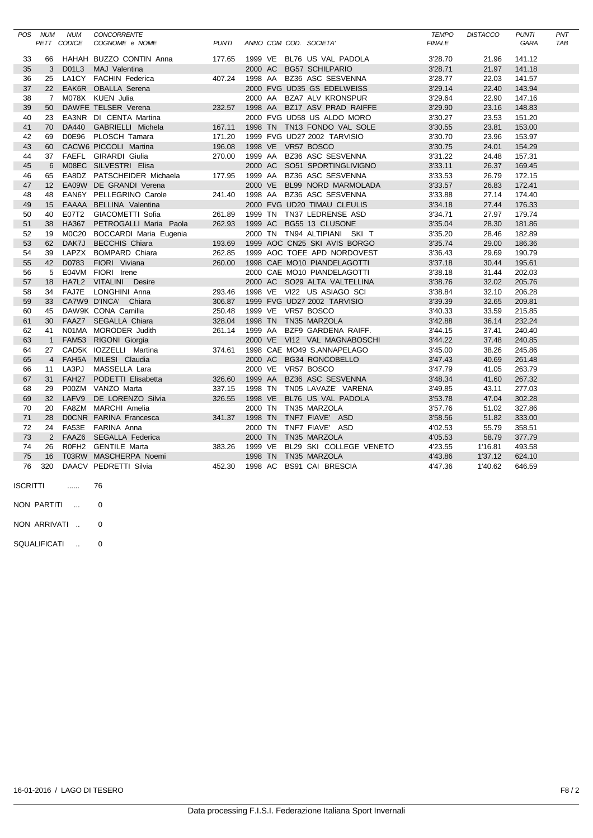| POS | <b>NUM</b>     | <b>NUM</b>        | <b>CONCORRENTE</b>           |              |         |  |                              | <b>TEMPO</b>  | <b>DISTACCO</b> | <b>PUNTI</b> | PNT        |
|-----|----------------|-------------------|------------------------------|--------------|---------|--|------------------------------|---------------|-----------------|--------------|------------|
|     |                | PETT CODICE       | COGNOME e NOME               | <b>PUNTI</b> |         |  | ANNO COM COD. SOCIETA'       | <b>FINALE</b> |                 | <b>GARA</b>  | <b>TAB</b> |
|     |                |                   |                              |              |         |  |                              |               |                 |              |            |
| 33  | 66             |                   | HAHAH BUZZO CONTIN Anna      | 177.65       | 1999 VE |  | BL76 US VAL PADOLA           | 3'28.70       | 21.96           | 141.12       |            |
| 35  | 3              | D01L3             | MAJ Valentina                |              | 2000 AC |  | <b>BG57 SCHILPARIO</b>       | 3'28.71       | 21.97           | 141.18       |            |
| 36  | 25             |                   | LA1CY FACHIN Federica        | 407.24       | 1998 AA |  | BZ36 ASC SESVENNA            | 3'28.77       | 22.03           | 141.57       |            |
| 37  | 22             |                   | EAK6R OBALLA Serena          |              |         |  | 2000 FVG UD35 GS EDELWEISS   | 3'29.14       | 22.40           | 143.94       |            |
| 38  | $\overline{7}$ |                   | M078X KUEN Julia             |              | 2000 AA |  | <b>BZA7 ALV KRONSPUR</b>     | 3'29.64       | 22.90           | 147.16       |            |
| 39  | 50             |                   | DAWFE TELSER Verena          | 232.57       | 1998 AA |  | BZ17 ASV PRAD RAIFFE         | 3'29.90       | 23.16           | 148.83       |            |
| 40  | 23             |                   | EA3NR DI CENTA Martina       |              |         |  | 2000 FVG UD58 US ALDO MORO   | 3'30.27       | 23.53           | 151.20       |            |
| 41  | 70             | <b>DA440</b>      | GABRIELLI Michela            | 167.11       |         |  | 1998 TN TN13 FONDO VAL SOLE  | 3'30.55       | 23.81           | 153.00       |            |
| 42  | 69             | D0E96             | PLOSCH Tamara                | 171.20       |         |  | 1999 FVG UD27 2002 TARVISIO  | 3'30.70       | 23.96           | 153.97       |            |
| 43  | 60             |                   | CACW6 PICCOLI Martina        | 196.08       | 1998 VE |  | VR57 BOSCO                   | 3'30.75       | 24.01           | 154.29       |            |
| 44  | 37             |                   | FAEFL GIRARDI Giulia         | 270.00       | 1999 AA |  | BZ36 ASC SESVENNA            | 3'31.22       | 24.48           | 157.31       |            |
| 45  | 6              |                   | M08EC SILVESTRI Elisa        |              | 2000 AC |  | SO51 SPORTINGLIVIGNO         | 3'33.11       | 26.37           | 169.45       |            |
| 46  | 65             |                   | EA8DZ PATSCHEIDER Michaela   | 177.95       | 1999 AA |  | BZ36 ASC SESVENNA            | 3'33.53       | 26.79           | 172.15       |            |
| 47  | 12             |                   | EA09W DE GRANDI Verena       |              | 2000 VE |  | BL99 NORD MARMOLADA          | 3'33.57       | 26.83           | 172.41       |            |
| 48  | 48             |                   | EAN6Y PELLEGRINO Carole      | 241.40       | 1998 AA |  | BZ36 ASC SESVENNA            | 3'33.88       | 27.14           | 174.40       |            |
| 49  | 15             |                   | EAAAA BELLINA Valentina      |              |         |  | 2000 FVG UD20 TIMAU CLEULIS  | 3'34.18       | 27.44           | 176.33       |            |
| 50  | 40             | E07T2             | GIACOMETTI Sofia             | 261.89       |         |  | 1999 TN TN37 LEDRENSE ASD    | 3'34.71       | 27.97           | 179.74       |            |
| 51  | 38             | <b>HA367</b>      | PETROGALLI Maria Paola       | 262.93       | 1999 AC |  | BG55 13 CLUSONE              | 3'35.04       | 28.30           | 181.86       |            |
| 52  | 19             |                   | M0C20 BOCCARDI Maria Eugenia |              | 2000 TN |  | TN94 ALTIPIANI SKI T         | 3'35.20       | 28.46           | 182.89       |            |
| 53  | 62             | DAK7J             | <b>BECCHIS Chiara</b>        | 193.69       |         |  | 1999 AOC CN25 SKI AVIS BORGO | 3'35.74       | 29.00           | 186.36       |            |
| 54  | 39             |                   | LAPZX BOMPARD Chiara         | 262.85       |         |  | 1999 AOC TOEE APD NORDOVEST  | 3'36.43       | 29.69           | 190.79       |            |
| 55  | 42             | D0783             | FIORI Viviana                | 260.00       |         |  | 1998 CAE MO10 PIANDELAGOTTI  | 3'37.18       | 30.44           | 195.61       |            |
| 56  | 5              | E04VM             | FIORI Irene                  |              |         |  | 2000 CAE MO10 PIANDELAGOTTI  | 3'38.18       | 31.44           | 202.03       |            |
| 57  | 18             | HA7L2             | VITALINI Desire              |              |         |  | 2000 AC SO29 ALTA VALTELLINA | 3'38.76       | 32.02           | 205.76       |            |
| 58  | 34             |                   | FAJ7E LONGHINI Anna          | 293.46       |         |  | 1998 VE VI22 US ASIAGO SCI   | 3'38.84       | 32.10           | 206.28       |            |
| 59  | 33             |                   | CA7W9 D'INCA' Chiara         | 306.87       |         |  | 1999 FVG UD27 2002 TARVISIO  | 3'39.39       | 32.65           | 209.81       |            |
| 60  | 45             |                   | DAW9K CONA Camilla           | 250.48       |         |  | 1999 VE VR57 BOSCO           | 3'40.33       | 33.59           | 215.85       |            |
| 61  | 30             |                   | FAAZ7 SEGALLA Chiara         | 328.04       | 1998 TN |  | TN35 MARZOLA                 | 3'42.88       | 36.14           | 232.24       |            |
| 62  | 41             |                   | N01MA MORODER Judith         | 261.14       | 1999 AA |  | BZF9 GARDENA RAIFF.          | 3'44.15       | 37.41           | 240.40       |            |
| 63  | $\overline{1}$ |                   | FAM53 RIGONI Giorgia         |              |         |  | 2000 VE VI12 VAL MAGNABOSCHI | 3'44.22       | 37.48           | 240.85       |            |
| 64  | 27             |                   | CAD5K IOZZELLI Martina       | 374.61       |         |  | 1998 CAE MO49 S.ANNAPELAGO   | 3'45.00       | 38.26           | 245.86       |            |
| 65  | $\overline{4}$ |                   | FAH5A MILESI Claudia         |              | 2000 AC |  | <b>BG34 RONCOBELLO</b>       | 3'47.43       | 40.69           | 261.48       |            |
| 66  | 11             | LA3PJ             | MASSELLA Lara                |              | 2000 VE |  | VR57 BOSCO                   | 3'47.79       | 41.05           | 263.79       |            |
| 67  | 31             | FAH <sub>27</sub> | PODETTI Elisabetta           | 326.60       | 1999 AA |  | BZ36 ASC SESVENNA            | 3'48.34       | 41.60           | 267.32       |            |
| 68  | 29             | P00ZM             | VANZO Marta                  | 337.15       | 1998 TN |  | TN05 LAVAZE' VARENA          | 3'49.85       | 43.11           | 277.03       |            |
| 69  | 32             | LAFV9             | DE LORENZO Silvia            | 326.55       | 1998 VE |  | BL76 US VAL PADOLA           | 3'53.78       | 47.04           | 302.28       |            |
| 70  | 20             |                   | FA8ZM MARCHI Amelia          |              | 2000 TN |  | TN35 MARZOLA                 | 3'57.76       | 51.02           | 327.86       |            |
| 71  | 28             |                   | DOCNR FARINA Francesca       | 341.37       | 1998 TN |  | TNF7 FIAVE' ASD              | 3'58.56       | 51.82           | 333.00       |            |
| 72  | 24             | FA53E             | FARINA Anna                  |              | 2000 TN |  | TNF7 FIAVE' ASD              | 4'02.53       | 55.79           | 358.51       |            |
| 73  | 2              | FAAZ6             | SEGALLA Federica             |              | 2000 TN |  | TN35 MARZOLA                 | 4'05.53       | 58.79           | 377.79       |            |
| 74  | 26             |                   | R0FH2 GENTILE Marta          | 383.26       | 1999 VE |  | BL29 SKI COLLEGE VENETO      | 4'23.55       | 1'16.81         | 493.58       |            |
| 75  | 16             |                   | T03RW MASCHERPA Noemi        |              | 1998 TN |  | TN35 MARZOLA                 | 4'43.86       |                 |              |            |
|     |                |                   |                              |              |         |  |                              |               | 1'37.12         | 624.10       |            |
| 76  | 320            |                   | DAACV PEDRETTI Silvia        | 452.30       | 1998 AC |  | <b>BS91 CAI BRESCIA</b>      | 4'47.36       | 1'40.62         | 646.59       |            |

ISCRITTI ...... 76

NON PARTITI ... 0

NON ARRIVATI .. 0

SQUALIFICATI .. 0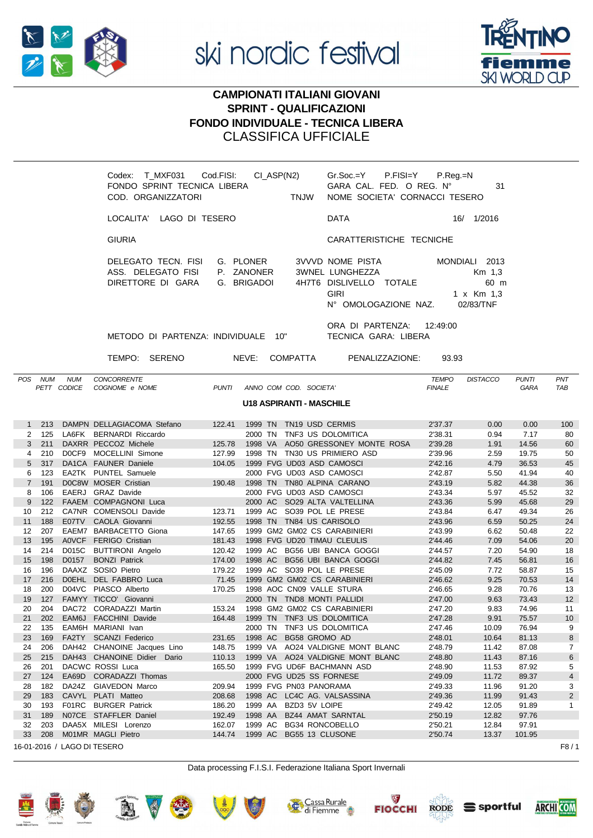



# **CAMPIONATI ITALIANI GIOVANI SPRINT - QUALIFICAZIONI FONDO INDIVIDUALE - TECNICA LIBERA** CLASSIFICA UFFICIALE

|     |                                                   | CI_ASP(N2)<br>Codex: T_MXF031 Cod.FISI:<br>FONDO SPRINT TECNICA LIBERA<br>COD. ORGANIZZATORI<br><b>TNJW</b> | P.Reg.=N<br>Gr.Soc.=Y P.FISI=Y<br>GARA CAL. FED. O REG. N°<br>31<br>NOME SOCIETA' CORNACCI TESERO                                                                          |                                                  |
|-----|---------------------------------------------------|-------------------------------------------------------------------------------------------------------------|----------------------------------------------------------------------------------------------------------------------------------------------------------------------------|--------------------------------------------------|
|     |                                                   | LOCALITA' LAGO DI TESERO                                                                                    | 16/ 1/2016<br><b>DATA</b>                                                                                                                                                  |                                                  |
|     |                                                   | <b>GIURIA</b>                                                                                               | CARATTERISTICHE TECNICHE                                                                                                                                                   |                                                  |
|     |                                                   | DELEGATO TECN. FISI<br>G. PLONER<br>ASS. DELEGATO FISI<br>P. ZANONER<br>DIRETTORE DI GARA<br>G. BRIGADOI    | <b>3VVVD NOME PISTA</b><br>MONDIALI 2013<br>3WNEL LUNGHEZZA<br>Km 1,3<br>4H7T6 DISLIVELLO TOTALE<br>60 m<br><b>GIRI</b><br>1 x Km 1,3<br>N° OMOLOGAZIONE NAZ.<br>02/83/TNF |                                                  |
|     |                                                   | METODO DI PARTENZA: INDIVIDUALE 10"                                                                         | ORA DI PARTENZA:<br>12:49:00<br>TECNICA GARA: LIBERA                                                                                                                       |                                                  |
|     |                                                   | NEVE:<br><b>COMPATTA</b><br>TEMPO:<br>SERENO                                                                | PENALIZZAZIONE:<br>93.93                                                                                                                                                   |                                                  |
| POS | <b>NUM</b><br><b>NUM</b><br><b>CODICE</b><br>PETT | <b>CONCORRENTE</b><br>ANNO COM COD. SOCIETA'<br>COGNOME e NOME<br><b>PUNTI</b>                              | <b>DISTACCO</b><br><b>TEMPO</b><br><b>FINALE</b>                                                                                                                           | PNT<br><b>PUNTI</b><br><b>TAB</b><br><b>GARA</b> |
|     |                                                   | $1140. A$ CDID ANTI MACOULLE                                                                                |                                                                                                                                                                            |                                                  |

### **U18 ASPIRANTI - MASCHILE**

|                | 213 |       | DAMPN DELLAGIACOMA Stefano  | 122.41 | 1999 TN | TN19 USD CERMIS                   | 2'37.37 | 0.00  | 0.00   | 100            |
|----------------|-----|-------|-----------------------------|--------|---------|-----------------------------------|---------|-------|--------|----------------|
| $\overline{2}$ | 125 |       | LA6FK BERNARDI Riccardo     |        | 2000 TN | TNF3 US DOLOMITICA                | 2'38.31 | 0.94  | 7.17   | 80             |
| 3              | 211 |       | DAXRR PECCOZ Michele        | 125.78 |         | 1998 VA AO50 GRESSONEY MONTE ROSA | 2'39.28 | 1.91  | 14.56  | 60             |
| 4              | 210 |       | DOCF9 MOCELLINI Simone      | 127.99 |         | 1998 TN TN30 US PRIMIERO ASD      | 2'39.96 | 2.59  | 19.75  | 50             |
| 5              | 317 |       | DA1CA FAUNER Daniele        | 104.05 |         | 1999 FVG UD03 ASD CAMOSCI         | 2'42.16 | 4.79  | 36.53  | 45             |
| 6              | 123 |       | EA2TK PUNTEL Samuele        |        |         | 2000 FVG UD03 ASD CAMOSCI         | 2'42.87 | 5.50  | 41.94  | 40             |
| 7              | 191 |       | DOC8W MOSER Cristian        | 190.48 |         | 1998 TN TN80 ALPINA CARANO        | 2'43.19 | 5.82  | 44.38  | 36             |
| 8              | 106 |       | EAERJ GRAZ Davide           |        |         | 2000 FVG UD03 ASD CAMOSCI         | 2'43.34 | 5.97  | 45.52  | 32             |
| 9              | 122 |       | FAAEM COMPAGNONI Luca       |        |         | 2000 AC SO29 ALTA VALTELLINA      | 2'43.36 | 5.99  | 45.68  | 29             |
| 10             | 212 |       | CA7NR COMENSOLI Davide      | 123.71 | 1999 AC | SO39 POL LE PRESE                 | 2'43.84 | 6.47  | 49.34  | 26             |
| 11             | 188 |       | E07TV CAOLA Giovanni        | 192.55 |         | 1998 TN TN84 US CARISOLO          | 2'43.96 | 6.59  | 50.25  | 24             |
| 12             | 207 |       | EAEM7 BARBACETTO Giona      | 147.65 |         | 1999 GM2 GM02 CS CARABINIERI      | 2'43.99 | 6.62  | 50.48  | 22             |
| 13             | 195 |       | A0VCF FERIGO Cristian       | 181.43 |         | 1998 FVG UD20 TIMAU CLEULIS       | 2'44.46 | 7.09  | 54.06  | 20             |
| 14             | 214 | D015C | <b>BUTTIRONI Angelo</b>     | 120.42 |         | 1999 AC BG56 UBI BANCA GOGGI      | 2'44.57 | 7.20  | 54.90  | 18             |
| 15             | 198 | D0157 | <b>BONZI Patrick</b>        | 174.00 | 1998 AC | <b>BG56 UBI BANCA GOGGI</b>       | 2'44.82 | 7.45  | 56.81  | 16             |
| 16             | 196 |       | DAAXZ SOSIO Pietro          | 179.22 |         | 1999 AC SO39 POL LE PRESE         | 2'45.09 | 7.72  | 58.87  | 15             |
| 17             | 216 |       | DOEHL DEL FABBRO Luca       | 71.45  |         | 1999 GM2 GM02 CS CARABINIERI      | 2'46.62 | 9.25  | 70.53  | 14             |
| 18             | 200 |       | D04VC PIASCO Alberto        | 170.25 |         | 1998 AOC CN09 VALLE STURA         | 2'46.65 | 9.28  | 70.76  | 13             |
| 19             | 127 |       | FAMYY TICCO' Giovanni       |        |         | 2000 TN TND8 MONTI PALLIDI        | 2'47.00 | 9.63  | 73.43  | 12             |
| 20             | 204 |       | DAC72 CORADAZZI Martin      | 153.24 |         | 1998 GM2 GM02 CS CARABINIERI      | 2'47.20 | 9.83  | 74.96  | 11             |
| 21             | 202 |       | EAM6J FACCHINI Davide       | 164.48 |         | 1999 TN TNF3 US DOLOMITICA        | 2'47.28 | 9.91  | 75.57  | 10             |
| 22             | 135 |       | EAM6H MARIANI Ivan          |        | 2000 TN | TNF3 US DOLOMITICA                | 2'47.46 | 10.09 | 76.94  | 9              |
| 23             | 169 |       | FA2TY SCANZI Federico       | 231.65 | 1998 AC | BG58 GROMO AD                     | 2'48.01 | 10.64 | 81.13  | 8              |
| 24             | 206 |       | DAH42 CHANOINE Jacques Lino | 148.75 |         | 1999 VA AO24 VALDIGNE MONT BLANC  | 2'48.79 | 11.42 | 87.08  | $\overline{7}$ |
| 25             | 215 |       | DAH43 CHANOINE Didier Dario | 110.13 |         | 1999 VA AO24 VALDIGNE MONT BLANC  | 2'48.80 | 11.43 | 87.16  | 6              |
| 26             | 201 |       | DACWC ROSSI Luca            | 165.50 |         | 1999 FVG UD6F BACHMANN ASD        | 2'48.90 | 11.53 | 87.92  | 5              |
| 27             | 124 |       | EA69D CORADAZZI Thomas      |        |         | 2000 FVG UD25 SS FORNESE          | 2'49.09 | 11.72 | 89.37  | 4              |
| 28             | 182 | DA24Z | <b>GIAVEDON Marco</b>       | 209.94 |         | 1999 FVG PN03 PANORAMA            | 2'49.33 | 11.96 | 91.20  | 3              |
| 29             | 183 |       | CAVYL PLATI Matteo          | 208.68 | 1998 AC | LC4C AG. VALSASSINA               | 2'49.36 | 11.99 | 91.43  | $\overline{2}$ |
| 30             | 193 |       | F01RC BURGER Patrick        | 186.20 | 1999 AA | BZD3 5V LOIPE                     | 2'49.42 | 12.05 | 91.89  | $\mathbf{1}$   |
| 31             | 189 |       | N07CE STAFFLER Daniel       | 192.49 | 1998 AA | BZ44 AMAT SARNTAL                 | 2'50.19 | 12.82 | 97.76  |                |
| 32             | 203 |       | DAA5X MILESI Lorenzo        | 162.07 | 1999 AC | BG34 RONCOBELLO                   | 2'50.21 | 12.84 | 97.91  |                |
| 33             | 208 |       | M01MR MAGLI Pietro          | 144.74 |         | 1999 AC BG55 13 CLUSONE           | 2'50.74 | 13.37 | 101.95 |                |
|                |     |       | 16-01-2016 / LAGO DI TESERO |        |         |                                   |         |       |        | F8/1           |

Data processing F.I.S.I. Federazione Italiana Sport Invernali

















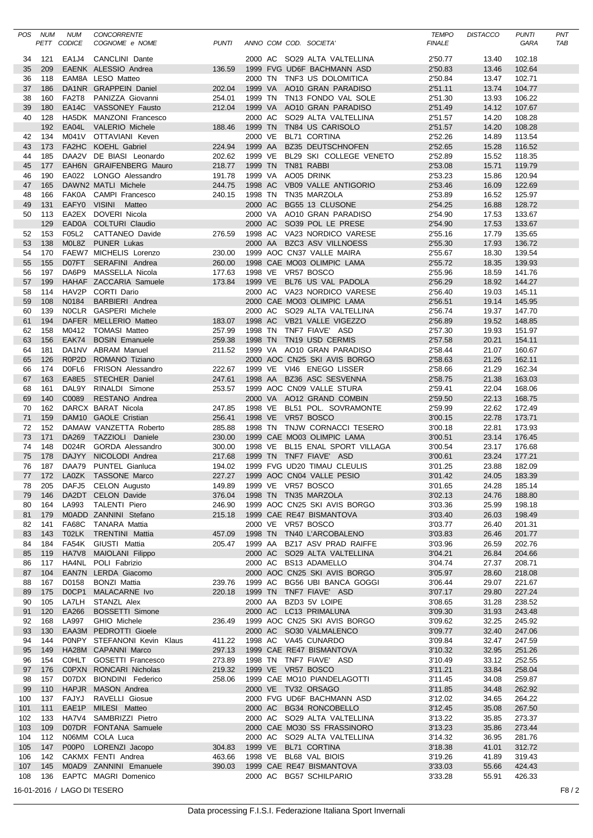|            | POS NUM    | <b>NUM</b>                  | <b>CONCORRENTE</b>                                 |                  |                    |  |                                                            | <b>TEMPO</b>       | <b>DISTACCO</b> | <b>PUNTI</b>     | PNT  |
|------------|------------|-----------------------------|----------------------------------------------------|------------------|--------------------|--|------------------------------------------------------------|--------------------|-----------------|------------------|------|
|            |            | PETT CODICE                 | COGNOME e NOME                                     | <b>PUNTI</b>     |                    |  | ANNO COM COD. SOCIETA'                                     | <b>FINALE</b>      |                 | GARA             | TAB  |
| 34         | 121        |                             | EA1J4 CANCLINI Dante                               |                  |                    |  | 2000 AC SO29 ALTA VALTELLINA                               | 2'50.77            | 13.40           | 102.18           |      |
| 35         | 209        |                             | EAENK ALESSIO Andrea                               | 136.59           |                    |  | 1999 FVG UD6F BACHMANN ASD                                 | 2'50.83            | 13.46           | 102.64           |      |
| 36         | 118        |                             | EAM8A LESO Matteo                                  |                  |                    |  | 2000 TN TNF3 US DOLOMITICA                                 | 2'50.84            | 13.47           | 102.71           |      |
| 37         | 186        |                             | DA1NR GRAPPEIN Daniel                              | 202.04           | 1999 VA            |  | AO10 GRAN PARADISO                                         | 2'51.11            | 13.74           | 104.77           |      |
| 38         | 160        |                             | FA2T8 PANIZZA Giovanni                             | 254.01           |                    |  | 1999 TN TN13 FONDO VAL SOLE                                | 2'51.30            | 13.93           | 106.22           |      |
| 39         | 180        |                             | EA14C VASSONEY Fausto                              | 212.04           |                    |  | 1999 VA AO10 GRAN PARADISO                                 | 2'51.49            | 14.12           | 107.67           |      |
| 40         | 128        |                             | HA5DK MANZONI Francesco                            |                  |                    |  | 2000 AC SO29 ALTA VALTELLINA                               | 2'51.57            | 14.20           | 108.28           |      |
|            | 192        | EA04L                       | <b>VALERIO Michele</b>                             | 188.46           | 1999 TN            |  | TN84 US CARISOLO                                           | 2'51.57            | 14.20           | 108.28           |      |
| 42         | 134        |                             | M041V OTTAVIANI Keven                              |                  | 2000 VE            |  | BL71 CORTINA                                               | 2'52.26            | 14.89           | 113.54           |      |
| 43         | 173        |                             | FA2HC KOEHL Gabriel                                | 224.94           | 1999 AA            |  | <b>BZ35 DEUTSCHNOFEN</b><br>BL29 SKI COLLEGE VENETO        | 2'52.65            | 15.28           | 116.52           |      |
| 44<br>45   | 185<br>177 |                             | DAA2V DE BIASI Leonardo<br>EAH6N GRAIFENBERG Mauro | 202.62<br>218.77 | 1999 VE<br>1999 TN |  | TN81 RABBI                                                 | 2'52.89<br>2'53.08 | 15.52<br>15.71  | 118.35<br>119.79 |      |
| 46         | 190        | EA022                       | LONGO Alessandro                                   | 191.78           | 1999 VA            |  | AO05 DRINK                                                 | 2'53.23            | 15.86           | 120.94           |      |
| 47         | 165        |                             | DAWN2 MATLI Michele                                | 244.75           | 1998 AC            |  | VB09 VALLE ANTIGORIO                                       | 2'53.46            | 16.09           | 122.69           |      |
| 48         | 166        |                             | FAK0A CAMPI Francesco                              | 240.15           | 1998 TN            |  | TN35 MARZOLA                                               | 2'53.89            | 16.52           | 125.97           |      |
| 49         | 131        |                             | EAFY0 VISINI Matteo                                |                  | 2000 AC            |  | BG55 13 CLUSONE                                            | 2'54.25            | 16.88           | 128.72           |      |
| 50         | 113        |                             | EA2EX DOVERI Nicola                                |                  |                    |  | 2000 VA AO10 GRAN PARADISO                                 | 2'54.90            | 17.53           | 133.67           |      |
|            | 129        |                             | EAD0A COLTURI Claudio                              |                  |                    |  | 2000 AC SO39 POL LE PRESE                                  | 2'54.90            | 17.53           | 133.67           |      |
| 52         | 153        | F05L2                       | CATTANEO Davide                                    | 276.59           |                    |  | 1998 AC VA23 NORDICO VARESE                                | 2'55.16            | 17.79           | 135.65           |      |
| 53         | 138        |                             | M0L8Z PUNER Lukas                                  |                  | 2000 AA            |  | <b>BZC3 ASV VILLNOESS</b>                                  | 2'55.30            | 17.93           | 136.72           |      |
| 54         | 170        |                             | FAEW7 MICHELIS Lorenzo                             | 230.00           |                    |  | 1999 AOC CN37 VALLE MAIRA                                  | 2'55.67            | 18.30           | 139.54           |      |
| 55         | 155        |                             | D07FT SERAFINI Andrea                              | 260.00           |                    |  | 1998 CAE MO03 OLIMPIC LAMA                                 | 2'55.72            | 18.35           | 139.93           |      |
| 56         | 197        | DA6P9                       | MASSELLA Nicola                                    | 177.63           |                    |  | 1998 VE VR57 BOSCO                                         | 2'55.96            | 18.59           | 141.76           |      |
| 57         | 199        |                             | HAHAF ZACCARIA Samuele                             | 173.84           |                    |  | 1999 VE BL76 US VAL PADOLA                                 | 2'56.29            | 18.92           | 144.27           |      |
| 58         | 114        |                             | HAV2P CORTI Dario                                  |                  |                    |  | 2000 AC VA23 NORDICO VARESE                                | 2'56.40            | 19.03           | 145.11           |      |
| 59         | 108        | N0184                       | <b>BARBIERI</b> Andrea                             |                  |                    |  | 2000 CAE MO03 OLIMPIC LAMA                                 | 2'56.51            | 19.14           | 145.95           |      |
| 60         | 139        |                             | NOCLR GASPERI Michele                              |                  |                    |  | 2000 AC SO29 ALTA VALTELLINA                               | 2'56.74            | 19.37           | 147.70           |      |
| 61         | 194        |                             | DAFER MELLERIO Matteo                              | 183.07           |                    |  | 1998 AC VB21 VALLE VIGEZZO                                 | 2'56.89            | 19.52           | 148.85           |      |
| 62         | 158        |                             | M0412 TOMASI Matteo                                | 257.99           |                    |  | 1998 TN TNF7 FIAVE' ASD                                    | 2'57.30            | 19.93           | 151.97           |      |
| 63         | 156        |                             | EAK74 BOSIN Emanuele                               | 259.38           |                    |  | 1998 TN TN19 USD CERMIS                                    | 2'57.58            | 20.21           | 154.11           |      |
| 64         | 181        |                             | DA1NV ABRAM Manuel                                 | 211.52           |                    |  | 1999 VA AO10 GRAN PARADISO                                 | 2'58.44            | 21.07           | 160.67           |      |
| 65         | 126        |                             | R0P2D ROMANO Tiziano                               |                  |                    |  | 2000 AOC CN25 SKI AVIS BORGO                               | 2'58.63            | 21.26           | 162.11           |      |
| 66         | 174        |                             | D0FL6 FRISON Alessandro                            | 222.67           |                    |  | 1999 VE VI46 ENEGO LISSER                                  | 2'58.66            | 21.29           | 162.34           |      |
| 67         | 163        |                             | EA8E5 STECHER Daniel                               | 247.61           |                    |  | 1998 AA BZ36 ASC SESVENNA                                  | 2'58.75            | 21.38           | 163.03           |      |
| 68         | 161        |                             | DAL9Y RINALDI Simone                               | 253.57           |                    |  | 1999 AOC CN09 VALLE STURA                                  | 2'59.41            | 22.04           | 168.06           |      |
| 69         | 140        | C0089                       | RESTANO Andrea                                     |                  |                    |  | 2000 VA AO12 GRAND COMBIN                                  | 2'59.50            | 22.13           | 168.75           |      |
| 70         | 162        |                             | DARCX BARAT Nicola                                 | 247.85           |                    |  | 1998 VE BL51 POL. SOVRAMONTE                               | 2'59.99            | 22.62           | 172.49           |      |
| 71         | 159        |                             | DAM10 GAOLE Cristian                               | 256.41           |                    |  | 1998 VE VR57 BOSCO                                         | 3'00.15            | 22.78           | 173.71           |      |
| 72         | 152        | DA269                       | DAMAW VANZETTA Roberto                             | 285.88           |                    |  | 1998 TN TNJW CORNACCI TESERO<br>1999 CAE MO03 OLIMPIC LAMA | 3'00.18<br>3'00.51 | 22.81           | 173.93           |      |
| 73<br>74   | 171<br>148 |                             | TAZZIOLI Daniele<br>D024R GORDA Alessandro         | 230.00           |                    |  | 1998 VE BL15 ENAL SPORT VILLAGA                            |                    | 23.14<br>23.17  | 176.45<br>176.68 |      |
| 75         | 178        |                             | DAJYY NICOLODI Andrea                              | 300.00<br>217.68 |                    |  | 1999 TN TNF7 FIAVE' ASD                                    | 3'00.54<br>3'00.61 | 23.24           | 177.21           |      |
| 76         | 187        |                             | DAA79 PUNTEL Gianluca                              | 194.02           |                    |  | 1999 FVG UD20 TIMAU CLEULIS                                | 3'01.25            | 23.88           | 182.09           |      |
| 77         |            |                             | 172 LA0ZK TASSONE Marco                            |                  |                    |  | 227.27 1999 AOC CN04 VALLE PESIO                           | 3'01.42            | 24.05           | 183.39           |      |
| 78         | 205        |                             | DAFJ5 CELON Augusto                                | 149.89           |                    |  | 1999 VE VR57 BOSCO                                         | 3'01.65            | 24.28           | 185.14           |      |
| 79         | 146        |                             | DA2DT CELON Davide                                 | 376.04           |                    |  | 1998 TN TN35 MARZOLA                                       | 3'02.13            | 24.76           | 188.80           |      |
| 80         | 164        | LA993                       | <b>TALENTI Piero</b>                               | 246.90           |                    |  | 1999 AOC CN25 SKI AVIS BORGO                               | 3'03.36            | 25.99           | 198.18           |      |
| 81         | 179        |                             | M0ADD ZANNINI Stefano                              | 215.18           |                    |  | 1999 CAE RE47 BISMANTOVA                                   | 3'03.40            | 26.03           | 198.49           |      |
| 82         | 141        |                             | FA68C TANARA Mattia                                |                  |                    |  | 2000 VE VR57 BOSCO                                         | 3'03.77            | 26.40           | 201.31           |      |
| 83         | 143        |                             | T02LK TRENTINI Mattia                              | 457.09           |                    |  | 1998 TN TN40 L'ARCOBALENO                                  | 3'03.83            | 26.46           | 201.77           |      |
| 84         | 184        |                             | FA54K GIUSTI Mattia                                | 205.47           | 1999 AA            |  | BZ17 ASV PRAD RAIFFE                                       | 3'03.96            | 26.59           | 202.76           |      |
| 85         | 119        |                             | HA7V8 MAIOLANI Filippo                             |                  |                    |  | 2000 AC SO29 ALTA VALTELLINA                               | 3'04.21            | 26.84           | 204.66           |      |
| 86         | 117        |                             | HA4NL POLI Fabrizio                                |                  |                    |  | 2000 AC BS13 ADAMELLO                                      | 3'04.74            | 27.37           | 208.71           |      |
| 87         | 104        |                             | EAN7N LERDA Giacomo                                |                  |                    |  | 2000 AOC CN25 SKI AVIS BORGO                               | 3'05.97            | 28.60           | 218.08           |      |
| 88         | 167        | D0158                       | <b>BONZI Mattia</b>                                | 239.76           |                    |  | 1999 AC BG56 UBI BANCA GOGGI                               | 3'06.44            | 29.07           | 221.67           |      |
| 89         | 175        |                             | DOCP1 MALACARNE Ivo                                | 220.18           |                    |  | 1999 TN TNF7 FIAVE' ASD                                    | 3'07.17            | 29.80           | 227.24           |      |
| 90         | 105        |                             | LA7LH STANZL Alex                                  |                  | 2000 AA            |  | BZD3 5V LOIPE                                              | 3'08.65            | 31.28           | 238.52           |      |
| 91         | 120        | EA266                       | <b>BOSSETTI Simone</b>                             |                  |                    |  | 2000 AC LC13 PRIMALUNA                                     | 3'09.30            | 31.93           | 243.48           |      |
| 92         | 168        | LA997                       | <b>GHIO Michele</b>                                | 236.49           |                    |  | 1999 AOC CN25 SKI AVIS BORGO                               | 3'09.62            | 32.25           | 245.92           |      |
| 93         | 130        |                             | EAA3M PEDROTTI Gioele                              |                  |                    |  | 2000 AC SO30 VALMALENCO                                    | 3'09.77            | 32.40           | 247.06           |      |
| 94         | 144        |                             | PONPY STEFANONI Kevin Klaus                        | 411.22           |                    |  | 1998 AC VA45 CUNARDO                                       | 3'09.84            | 32.47           | 247.59           |      |
| 95         | 149        |                             | HA28M CAPANNI Marco                                | 297.13           |                    |  | 1999 CAE RE47 BISMANTOVA                                   | 3'10.32            | 32.95           | 251.26           |      |
| 96         | 154        |                             | COHLT GOSETTI Francesco                            | 273.89           |                    |  | 1998 TN TNF7 FIAVE' ASD                                    | 3'10.49            | 33.12           | 252.55           |      |
| 97         | 176        |                             | C0PXN RONCARI Nicholas                             | 219.32           |                    |  | 1999 VE VR57 BOSCO                                         | 3'11.21            | 33.84           | 258.04           |      |
| 98<br>99   | 157<br>110 |                             | D07DX BIONDINI Federico                            | 258.06           |                    |  | 1999 CAE MO10 PIANDELAGOTTI                                | 3'11.45            | 34.08           | 259.87<br>262.92 |      |
|            | 137        | FAJYJ                       | HAPJR MASON Andrea<br>RAVELLI Giosue               |                  |                    |  | 2000 VE TV32 ORSAGO<br>2000 FVG UD6F BACHMANN ASD          | 3'11.85<br>3'12.02 | 34.48           | 264.22           |      |
| 100        | 111        |                             | EAE1P MILESI Matteo                                |                  |                    |  | 2000 AC BG34 RONCOBELLO                                    | 3'12.45            | 34.65<br>35.08  | 267.50           |      |
| 101<br>102 | 133        |                             | HA7V4 SAMBRIZZI Pietro                             |                  |                    |  | 2000 AC SO29 ALTA VALTELLINA                               | 3'13.22            | 35.85           | 273.37           |      |
| 103        | 109        |                             | D07DR FONTANA Samuele                              |                  |                    |  | 2000 CAE MO30 SS FRASSINORO                                | 3'13.23            | 35.86           | 273.44           |      |
| 104        | 112        |                             | N06MM COLA Luca                                    |                  |                    |  | 2000 AC SO29 ALTA VALTELLINA                               | 3'14.32            | 36.95           | 281.76           |      |
| 105        | 147        |                             | P00P0 LORENZI Jacopo                               | 304.83           |                    |  | 1999 VE BL71 CORTINA                                       | 3'18.38            | 41.01           | 312.72           |      |
| 106        | 142        |                             | CAKMX FENTI Andrea                                 | 463.66           |                    |  | 1998 VE BL68 VAL BIOIS                                     | 3'19.26            | 41.89           | 319.43           |      |
| 107        | 145        |                             | M0AD9 ZANNINI Emanuele                             | 390.03           |                    |  | 1999 CAE RE47 BISMANTOVA                                   | 3'33.03            | 55.66           | 424.43           |      |
| 108        | 136        |                             | EAPTC MAGRI Domenico                               |                  |                    |  | 2000 AC BG57 SCHILPARIO                                    | 3'33.28            | 55.91           | 426.33           |      |
|            |            | 16-01-2016 / LAGO DI TESERO |                                                    |                  |                    |  |                                                            |                    |                 |                  | F8/2 |
|            |            |                             |                                                    |                  |                    |  |                                                            |                    |                 |                  |      |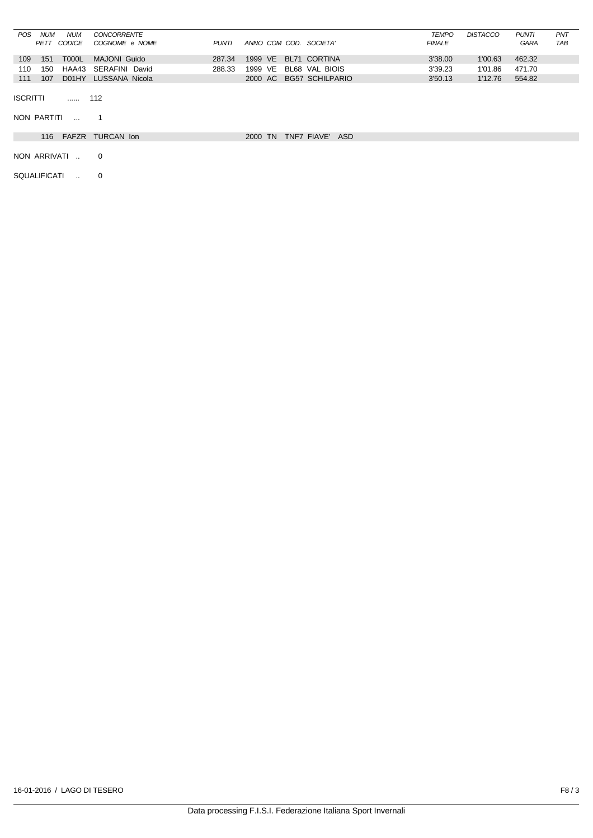| POS             | <b>NUM</b>          | <b>NUM</b>   | <b>CONCORRENTE</b>   |              |                        |                         | TEMPO         | <b>DISTACCO</b> | <b>PUNTI</b> | PNT |
|-----------------|---------------------|--------------|----------------------|--------------|------------------------|-------------------------|---------------|-----------------|--------------|-----|
|                 |                     | PETT CODICE  | COGNOME e NOME       | <b>PUNTI</b> | ANNO COM COD. SOCIETA' |                         | <b>FINALE</b> |                 | <b>GARA</b>  | TAB |
| 109             | 151                 | T000L        | <b>MAJONI Guido</b>  | 287.34       | 1999 VE                | BL71 CORTINA            | 3'38.00       | 1'00.63         | 462.32       |     |
| 110             | 150                 | HAA43        | SERAFINI David       | 288.33       | 1999 VE                | BL68 VAL BIOIS          | 3'39.23       | 1'01.86         | 471.70       |     |
| 111             | 107                 | D01HY        | LUSSANA Nicola       |              |                        | 2000 AC BG57 SCHILPARIO | 3'50.13       | 1'12.76         | 554.82       |     |
| <b>ISCRITTI</b> | NON PARTITI         |              | 112                  |              |                        |                         |               |                 |              |     |
|                 |                     | $\sim$       |                      |              |                        |                         |               |                 |              |     |
|                 |                     |              | 116 FAFZR TURCAN Ion |              | 2000 TN                | TNF7 FIAVE' ASD         |               |                 |              |     |
|                 |                     | NON ARRIVATI | $\overline{0}$       |              |                        |                         |               |                 |              |     |
|                 | <b>SQUALIFICATI</b> | $\mathbf{r}$ | 0                    |              |                        |                         |               |                 |              |     |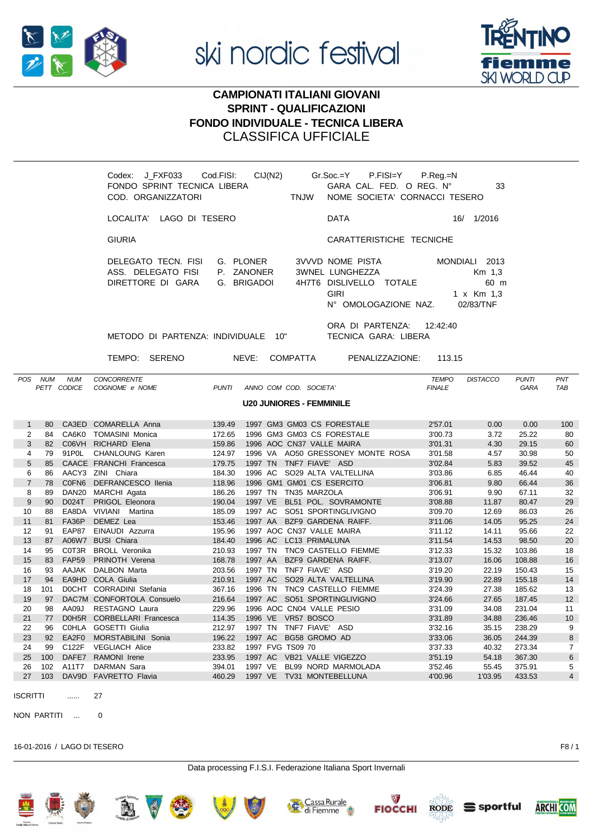



## **CAMPIONATI ITALIANI GIOVANI SPRINT - QUALIFICAZIONI FONDO INDIVIDUALE - TECNICA LIBERA CLASSIFICA UFFICIALE**

|                 |         |                           | Codex: J_FXF033 Cod.FISI: CIJ(N2) Gr.Soc.=Y P.FISI=Y P.Reg.=N<br>FONDO SPRINT TECNICA LIBERA<br>COD. ORGANIZZATORI |            | <b>TNJW</b>                     | GARA CAL. FED. O REG. N°<br>NOME SOCIETA' CORNACCI TESERO                                             |                               | 33                                                         |                      |            |
|-----------------|---------|---------------------------|--------------------------------------------------------------------------------------------------------------------|------------|---------------------------------|-------------------------------------------------------------------------------------------------------|-------------------------------|------------------------------------------------------------|----------------------|------------|
|                 |         |                           | LOCALITA' LAGO DI TESERO                                                                                           |            |                                 | <b>DATA</b>                                                                                           |                               | 16/ 1/2016                                                 |                      |            |
|                 |         |                           | <b>GIURIA</b>                                                                                                      |            |                                 | CARATTERISTICHE TECNICHE                                                                              |                               |                                                            |                      |            |
|                 |         |                           | DELEGATO TECN. FISI<br>ASS. DELEGATO FISI<br>DIRETTORE DI GARA                                                     | P. ZANONER | G. PLONER<br>G. BRIGADOI        | 3VVVD NOME PISTA<br>3WNEL LUNGHEZZA<br>4H7T6 DISLIVELLO TOTALE<br><b>GIRI</b><br>N° OMOLOGAZIONE NAZ. |                               | MONDIALI 2013<br>Km 1,3<br>60 m<br>1 x Km 1,3<br>02/83/TNF |                      |            |
|                 |         |                           | METODO DI PARTENZA: INDIVIDUALE 10"<br>TEMPO: SERENO                                                               |            | NEVE: COMPATTA                  | ORA DI PARTENZA: 12:42:40<br>TECNICA GARA: LIBERA<br>PENALIZZAZIONE:                                  | 113.15                        |                                                            |                      |            |
|                 | POS NUM | <b>NUM</b><br>PETT CODICE | <b>CONCORRENTE</b><br>COGNOME e NOME                                                                               |            | PUNTI ANNO COM COD. SOCIETA'    |                                                                                                       | <b>TEMPO</b><br><b>FINALE</b> | <b>DISTACCO</b>                                            | <b>PUNTI</b><br>GARA | PNT<br>TAB |
|                 |         |                           |                                                                                                                    |            | <b>U20 JUNIORES - FEMMINILE</b> |                                                                                                       |                               |                                                            |                      |            |
| $\mathbf{1}$    |         |                           | 80 CA3ED COMARELLA Anna                                                                                            | 139.49     |                                 | 1997 GM3 GM03 CS FORESTALE                                                                            | 2'57.01                       | 0.00                                                       | 0.00                 | 100        |
| $\overline{2}$  |         |                           | 84 CA6K0 TOMASINI Monica                                                                                           | 172.65     |                                 | 1996 GM3 GM03 CS FORESTALE                                                                            | 3'00.73                       | 3.72                                                       | 25.22                | 80         |
| 3               |         |                           | 82 C06VH RICHARD Elena                                                                                             | 159.86     | 1996 AOC CN37 VALLE MAIRA       |                                                                                                       | 3'01.31                       | 4.30                                                       | 29.15                | 60         |
| 4               |         |                           | 79 91P0L CHANLOUNG Karen                                                                                           | 124.97     |                                 | 1996 VA AO50 GRESSONEY MONTE ROSA                                                                     | 3'01.58                       | 4.57                                                       | 30.98                | 50         |
| 5               |         |                           | 85 CAACE FRANCHI Francesca                                                                                         | 179.75     | 1997 TN TNF7 FIAVE' ASD         |                                                                                                       | 3'02.84                       | 5.83                                                       | 39.52                | 45         |
| 6               |         |                           | 86 AACY3 ZINI Chiara                                                                                               | 184.30     |                                 | 1996 AC SO29 ALTA VALTELLINA                                                                          | 3'03.86                       | 6.85                                                       | 46.44                | 40         |
| $\overline{7}$  |         |                           | 78 COFN6 DEFRANCESCO llenia                                                                                        | 118.96     | 1996 GM1 GM01 CS ESERCITO       |                                                                                                       | 3'06.81                       | 9.80                                                       | 66.44                | 36         |
| 8               | 89      |                           | DAN20 MARCHI Agata                                                                                                 | 186.26     | 1997 TN TN35 MARZOLA            |                                                                                                       | 3'06.91                       | 9.90                                                       | 67.11                | 32         |
| 9               | 90      |                           | D024T PRIGOL Eleonora                                                                                              | 190.04     |                                 | 1997 VE BL51 POL. SOVRAMONTE                                                                          | 3'08.88                       | 11.87                                                      | 80.47                | 29         |
| 10 <sup>1</sup> | 88      |                           | FA8DA VIVIANI Martina                                                                                              | 185.09     |                                 | 1997 AC SO51 SPORTINGLIVIGNO                                                                          | 3'09.70                       | 12.69                                                      | 86.03                | 26         |

1997 AA BZF9 GARDENA RAIFF.

TNF7 FIAVE'

1996 AOC CN04 VALLE PESIO

1997 AC BG58 GROMO AD

1997 AC VB21 VALLE VIGEZZO

1997 VE TV31 MONTEBELLUNA

1996 VE VR57 BOSCO

1997 FVG TS09 70

LC13 PRIMALUNA

TNC9 CASTELLO FIEMME

ASD

BZF9 GARDENA RAIFF.

SO29 ALTA VALTELLINA

SO51 SPORTINGLIVIGNO

TNF7 FIAVE' ASD

TNC9 CASTELLO FIEMME

BL99 NORD MARMOLADA

1997 AOC CN37 VALLE MAIRA

**ISCRITTI** 

11

 $12$ 

 $13$ 

 $14$ 

 $15$ 

 $16$ 

17

18 101

19

20

 $21$ 

 $22$ 

23

 $24$ 

25

26 102

27

81

 $Q<sub>1</sub>$ 

87

95

 $R<sub>3</sub>$ 

93

 $Q_{\Delta}$ 

 $97$ 

98

77

96

92

qq

100

103

**FA36P** 

EAP87

A06W7

C0T3R

**FAP59** 

**AAJAK** 

**FAGHD** 

**DOCHT** 

AA09J

D<sub>0</sub>H<sub>5R</sub>

**COHLA** 

EA2F0

C122F

DAFE7

A11T7

DAV9D

27

DEMEZ Lea

**BUSI Chiara** 

EINAUDI Azzurra

**BROLL Veronika** 

PRINOTH Verena

CORRADINI Stefania

**CORBELLARI Francesca** 

MORSTABILINI Sonia

DALBON Marta

DACZM CONFORTOLA Consuelo

**GOSETTI Giulia** 

**VEGLIACH Alice** 

RAMONI Irene

DARMAN Sara

FAVRETTO Flavia

RESTAGNO Laura

COLA Giulia

NON PARTITI  $\Omega$ 

16-01-2016 / LAGO DI TESERO

Data processing F.I.S.I. Federazione Italiana Sport Invernali









153.46

195.96

184.40

210.93

168.78

203.56

210.91

367.16

216.64

229.96

114 35

212.97

196.22

233.82

233.95

394.01

460.29

1996 AC

1997 TN

1997 AA

1997 AC

1996 TN

1997 AC

1997 TN

1997 VE

1997 **TN** 







3'11.06

 $3'11.12$ 

3'11.54

3'12.33

 $3'13.07$ 

3'19.20

 $3'19.90$ 

3'24.39

 $3'24.66$ 

3'31.09

3'31.89

3'32.16

3'33.06

3'37.33

3'51.19

3'52.46

4'00.96

14.05

14.11

14.53

15.32

16.06

22.19

22.89

27.38

27.65

34.08

34.88

35.15

36.05

40.32

54.18

55.45

1'03.95

95.25

95.66

98.50

103.86

108.88

150.43

155 18

185.62

18745

231.04

236.46

238.29

244.39

273.34

367.30

375.91

433.53

 $24$  $\overline{22}$ 

20

 $18$ 

 $16$ 

 $15$ 

 $14$ 

13  $12<sup>12</sup>$ 

 $11$ 

 $10<sup>1</sup>$ 

 $\overline{9}$ 

 $\overline{7}$ 

5

 $8<sup>1</sup>$ 

 $6\overline{6}$ 

 $4$ 



 $F8/1$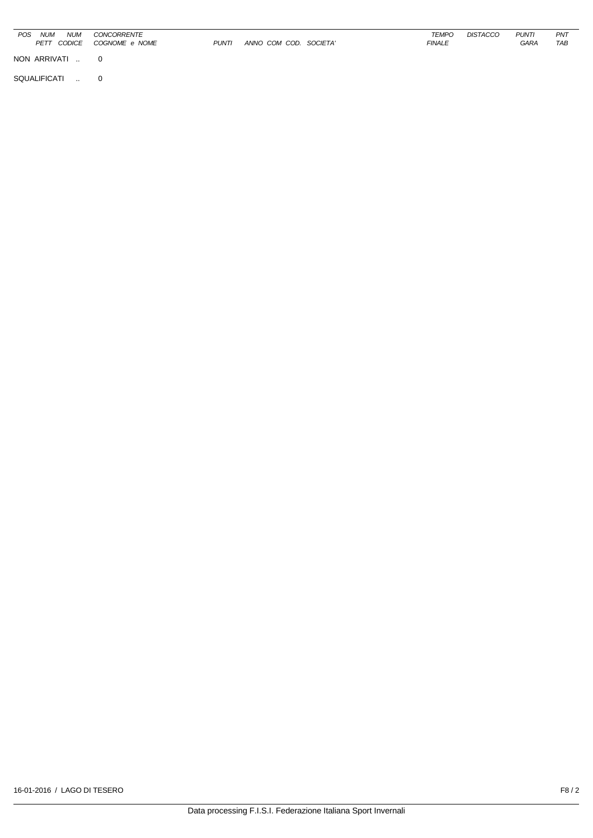| POS<br><b>NUM</b><br><b>NUM</b><br>PETT CODICE | CONCORRENTE<br>COGNOME e NOME | <b>PUNTI</b> | ANNO COM COD. SOCIETA' | <b>TEMPO</b><br><b>FINALE</b> | <b>DISTACCO</b> | <b>PUNTI</b><br>GARA | PNT<br>TAB |
|------------------------------------------------|-------------------------------|--------------|------------------------|-------------------------------|-----------------|----------------------|------------|
| NON ARRIVATI                                   | $\Omega$                      |              |                        |                               |                 |                      |            |
| SQUALIFICATI<br>$\sim$ $\sim$                  | $\mathbf 0$                   |              |                        |                               |                 |                      |            |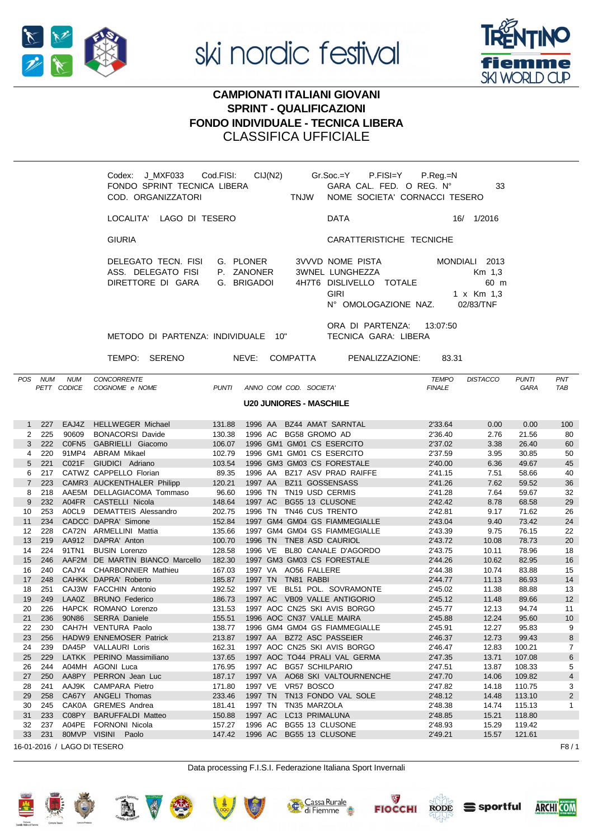



## **CAMPIONATI ITALIANI GIOVANI SPRINT - QUALIFICAZIONI FONDO INDIVIDUALE - TECNICA LIBERA** CLASSIFICA UFFICIALE

|                   |         |                           | Codex: J_MXF033 Cod.FISI:<br>FONDO SPRINT TECNICA LIBERA<br>COD. ORGANIZZATORI |              |                                        | <b>TNJW</b>     | $CIJ(N2)$ $Gr.Soc=Y$<br>P.FISI=Y<br>GARA CAL. FED. O REG. Nº<br>NOME SOCIETA' CORNACCI TESERO         | $P_{\cdot}$ Reg $_{\cdot}$ =N | 33                                                         |                             |                   |
|-------------------|---------|---------------------------|--------------------------------------------------------------------------------|--------------|----------------------------------------|-----------------|-------------------------------------------------------------------------------------------------------|-------------------------------|------------------------------------------------------------|-----------------------------|-------------------|
|                   |         |                           | LOCALITA' LAGO DI TESERO                                                       |              |                                        |                 | <b>DATA</b>                                                                                           |                               | 16/ 1/2016                                                 |                             |                   |
|                   |         |                           | <b>GIURIA</b>                                                                  |              |                                        |                 | CARATTERISTICHE TECNICHE                                                                              |                               |                                                            |                             |                   |
|                   |         |                           | DELEGATO TECN. FISI<br>ASS. DELEGATO FISI<br>DIRETTORE DI GARA                 |              | G. PLONER<br>P. ZANONER<br>G. BRIGADOI |                 | 3VVVD NOME PISTA<br>3WNEL LUNGHEZZA<br>4H7T6 DISLIVELLO TOTALE<br><b>GIRI</b><br>N° OMOLOGAZIONE NAZ. |                               | MONDIALI 2013<br>Km 1,3<br>60 m<br>1 x Km 1,3<br>02/83/TNF |                             |                   |
|                   |         |                           | METODO DI PARTENZA: INDIVIDUALE 10"                                            |              |                                        |                 | ORA DI PARTENZA: 13:07:50<br>TECNICA GARA: LIBERA                                                     |                               |                                                            |                             |                   |
|                   |         |                           | TEMPO: SERENO                                                                  |              | NEVE: COMPATTA                         |                 | PENALIZZAZIONE:                                                                                       | 83.31                         |                                                            |                             |                   |
|                   | POS NUM | <b>NUM</b><br>PETT CODICE | <b>CONCORRENTE</b><br>COGNOME e NOME                                           | <b>PUNTI</b> | ANNO COM COD. SOCIETA'                 |                 |                                                                                                       | <b>TEMPO</b><br><b>FINALE</b> | <b>DISTACCO</b>                                            | <b>PUNTI</b><br><b>GARA</b> | PNT<br><b>TAB</b> |
|                   |         |                           |                                                                                |              | <b>U20 JUNIORES - MASCHILE</b>         |                 |                                                                                                       |                               |                                                            |                             |                   |
| $\mathbf{1}$      | 227     |                           | EAJ4Z HELLWEGER Michael                                                        | 131.88       |                                        |                 | 1996 AA BZ44 AMAT SARNTAL                                                                             | 2'33.64                       | 0.00                                                       | 0.00                        | 100               |
| $\overline{2}$    | 225     |                           | 90609 BONACORSI Davide                                                         | 130.38       | 1996 AC BG58 GROMO AD                  |                 |                                                                                                       | 2'36.40                       | 2.76                                                       | 21.56                       | 80                |
| 3                 | 222     |                           | C0FN5 GABRIELLI Giacomo                                                        | 106.07       | 1996 GM1 GM01 CS ESERCITO              |                 |                                                                                                       | 2'37.02                       | 3.38                                                       | 26.40                       | 60                |
| 4                 | 220     |                           | 91MP4 ABRAM Mikael                                                             | 102.79       | 1996 GM1 GM01 CS ESERCITO              |                 |                                                                                                       | 2'37.59                       | 3.95                                                       | 30.85                       | 50                |
| 5                 | 221     |                           | C021F GIUDICI Adriano                                                          | 103.54       |                                        |                 | 1996 GM3 GM03 CS FORESTALE                                                                            | 2'40.00                       | 6.36                                                       | 49.67                       | 45                |
| 6                 | 217     |                           | CATWZ CAPPELLO Florian                                                         | 89.35        |                                        |                 | 1996 AA BZ17 ASV PRAD RAIFFE                                                                          | 2'41.15                       | 7.51                                                       | 58.66                       | 40                |
| $\overline{7}$    | 223     |                           | CAMR3 AUCKENTHALER Philipp                                                     | 120.21       | 1997 AA BZ11 GOSSENSASS                |                 |                                                                                                       | 2'41.26                       | 7.62                                                       | 59.52                       | 36                |
| 8                 | 218     |                           | AAE5M DELLAGIACOMA Tommaso                                                     | 96.60        | 1996 TN TN19 USD CERMIS                |                 |                                                                                                       | 2'41.28                       | 7.64                                                       | 59.67                       | 32                |
| 9                 | 232     |                           | A04FR CASTELLI Nicola                                                          | 148.64       | 1997 AC                                | BG55 13 CLUSONE |                                                                                                       | 2'42.42                       | 8.78                                                       | 68.58                       | 29                |
| 10                | 253     |                           | A0CL9 DEMATTEIS Alessandro                                                     | 202.75       | 1996 TN TN46 CUS TRENTO                |                 |                                                                                                       | 2'42.81                       | 9.17                                                       | 71.62                       | 26                |
| 11                | 234     |                           | CADCC DAPRA' Simone                                                            | 152.84       |                                        |                 | 1997 GM4 GM04 GS FIAMMEGIALLE                                                                         | 2'43.04                       | 9.40                                                       | 73.42                       | 24                |
| $12 \overline{ }$ | 228     |                           | CA72N ARMELLINI Mattia                                                         | 135.66       |                                        |                 | 1997 GM4 GM04 GS FIAMMEGIALLE                                                                         | 2'43.39                       | 9.75                                                       | 76.15                       | 22                |
| 13                | 219     |                           | AA912 DAPRA' Anton                                                             | 100.70       | 1996 TN TNE8 ASD CAURIOL               |                 |                                                                                                       | 2'43.72                       | 10.08                                                      | 78.73                       | 20                |
| 14                | 224     | 91TN1                     | <b>BUSIN Lorenzo</b>                                                           | 128.58       |                                        |                 | 1996 VE BL80 CANALE D'AGORDO                                                                          | 2'43.75                       | 10.11                                                      | 78.96                       | 18                |
| 15                | 246     |                           | AAF2M DE MARTIN BIANCO Marcello                                                | 182.30       |                                        |                 | 1997 GM3 GM03 CS FORESTALE                                                                            | 2'44.26                       | 10.62                                                      | 82.95                       | 16                |
| 16                | 240     |                           | CAJY4 CHARBONNIER Mathieu                                                      | 167.03       | 1997 VA AO56 FALLERE                   |                 |                                                                                                       | 2'44.38                       | 10.74                                                      | 83.88                       | 15                |
| 17                | 248     |                           | CAHKK DAPRA' Roberto                                                           | 185.87       | 1997 TN TN81 RABBI                     |                 |                                                                                                       | 2'44.77                       | 11.13                                                      | 86.93                       | 14                |
| 18                | 251     |                           | CAJ3W FACCHIN Antonio                                                          | 192.52       |                                        |                 | 1997 VE BL51 POL. SOVRAMONTE                                                                          | 2'45.02                       | 11.38                                                      | 88.88                       | 13                |
| 19                | 249     |                           | LAA0Z BRUNO Federico                                                           | 186.73       |                                        |                 | 1997 AC VB09 VALLE ANTIGORIO                                                                          | 2'45.12                       | 11.48                                                      | 89.66                       | 12 <sup>2</sup>   |

16-01-2016 / LAGO DI TESERO F8 / 1

Data processing F.I.S.I. Federazione Italiana Sport Invernali

20 226 HAPCK ROMANO Lorenzo 131.53 1997 AOC CN25 SKI AVIS BORGO 2'45.77 12.13 94.74 11 21 236 90N86 SERRA Daniele 155.51 1996 AOC CN37 VALLE MAIRA 2'45.88 12.24 95.60 10 22 230 CAH7H VENTURA Paolo 138.77 1996 GM4 GM04 GS FIAMMEGIALLE 2'45.91 12.27 95.83 9

24 239 DA45P VALLAURI Loris 162.31 1997 AOC CN25 SKI AVIS BORGO 2'46.47 12.83 100.21 7 25 229 LATKK PERINO Massimiliano 137.65 1997 AOC TO44 PRALI VAL GERMA 2'47.35 13.71 107.08 6 26 244 A04MH AGONI Luca 176.95 1997 AC BG57 SCHILPARIO 2'47.51 13.87 108.33 5 27 250 AA8PY PERRON Jean Luc 187.17 1997 VA AO68 SKI VALTOURNENCHE 2'47.70 14.06 109.82 4 28 241 AAJ9K CAMPARA Pietro 171.80 1997 VE VR57 BOSCO 2'47.82 14.18 110.75 3 29 258 CA67Y ANGELI Thomas 233.46 1997 TN TN13 FONDO VAL SOLE 2'48.12 14.48 113.10 2 30 245 CAK0A GREMES Andrea 181.41 1997 TN TN35 MARZOLA 2'48.38 14.74 115.13 1 31 233 C08PY BARUFFALDI Matteo 150.88 1997 AC LC13 PRIMALUNA 2'48.85 15.21 118.80 32 237 A04PE FORNONI Nicola 157.27 1996 AC BG55 13 CLUSONE 2'48.93 15.29 119.42 33 231 80MVP VISINI Paolo 147.42 1996 AC BG55 13 CLUSONE 2'49.21 15.57









23 256 HADW9 ENNEMOSER Patrick 213.87 1997 AA BZ72 ASC PASSEIER 2'46.37